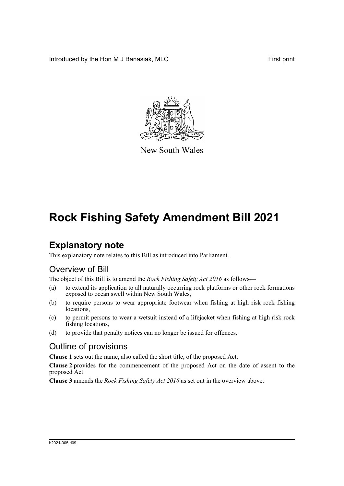Introduced by the Hon M J Banasiak, MLC First print



New South Wales

# **Rock Fishing Safety Amendment Bill 2021**

## **Explanatory note**

This explanatory note relates to this Bill as introduced into Parliament.

#### Overview of Bill

The object of this Bill is to amend the *Rock Fishing Safety Act 2016* as follows—

- (a) to extend its application to all naturally occurring rock platforms or other rock formations exposed to ocean swell within New South Wales,
- (b) to require persons to wear appropriate footwear when fishing at high risk rock fishing locations,
- (c) to permit persons to wear a wetsuit instead of a lifejacket when fishing at high risk rock fishing locations,
- (d) to provide that penalty notices can no longer be issued for offences.

#### Outline of provisions

**Clause 1** sets out the name, also called the short title, of the proposed Act.

**Clause 2** provides for the commencement of the proposed Act on the date of assent to the proposed Act.

**Clause 3** amends the *Rock Fishing Safety Act 2016* as set out in the overview above.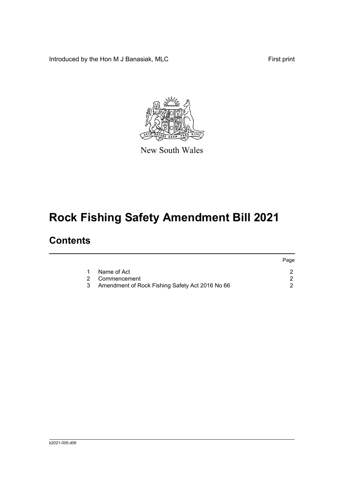Introduced by the Hon M J Banasiak, MLC First print



New South Wales

# **Rock Fishing Safety Amendment Bill 2021**

### **Contents**

|                                                 | Page |
|-------------------------------------------------|------|
| Name of Act                                     |      |
| 2 Commencement                                  |      |
| Amendment of Rock Fishing Safety Act 2016 No 66 |      |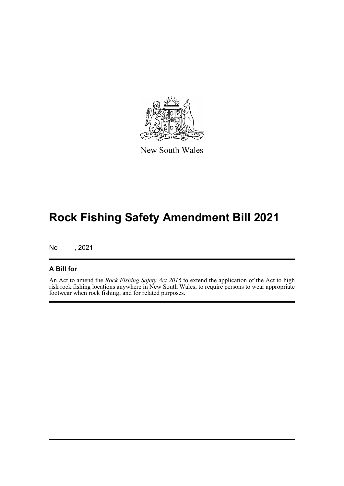

New South Wales

## **Rock Fishing Safety Amendment Bill 2021**

No , 2021

#### **A Bill for**

An Act to amend the *Rock Fishing Safety Act 2016* to extend the application of the Act to high risk rock fishing locations anywhere in New South Wales; to require persons to wear appropriate footwear when rock fishing; and for related purposes.